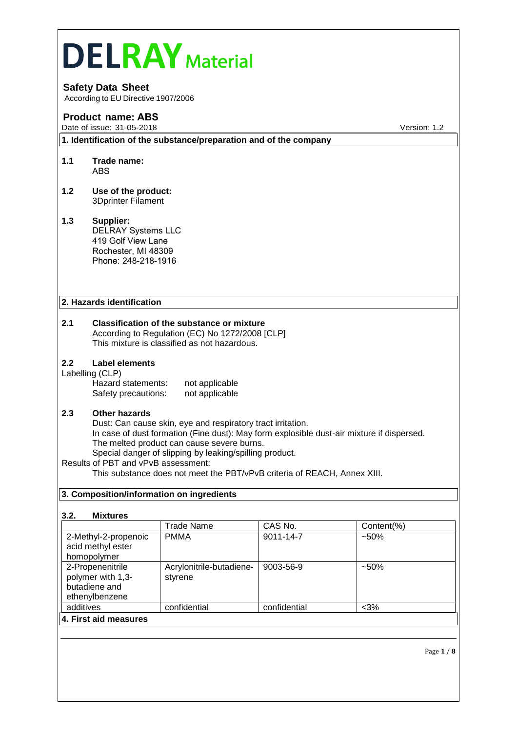# **DELRAY** Material **Safety Data Sheet** According to EU Directive 1907/2006 **Product name: ABS** Date of issue: 31-05-2018 **Version: 1.2 1. Identification of the substance/preparation and of the company 1.1 Trade name:**  ABS **1.2 Use of the product:**  3Dprinter Filament **1.3 Supplier:** DELRAY Systems LLC 419 Golf View Lane Rochester, MI 48309 Phone: 248-218-1916 **2. Hazards identification 2.1 Classification of the substance or mixture** According to Regulation (EC) No 1272/2008 [CLP] This mixture is classified as not hazardous. **2.2 Label elements** Labelling (CLP) Hazard statements: not applicable<br>Safety precautions: not applicable Safety precautions: **2.3 Other hazards** Dust: Can cause skin, eye and respiratory tract irritation. In case of dust formation (Fine dust): May form explosible dust-air mixture if dispersed. The melted product can cause severe burns. Special danger of slipping by leaking/spilling product. Results of PBT and vPvB assessment: This substance does not meet the PBT/vPvB criteria of REACH, Annex XIII.

#### **3. Composition/information on ingredients**

#### **3.2. Mixtures**

|                       | <b>Trade Name</b>        | CAS No.      | Content(%) |
|-----------------------|--------------------------|--------------|------------|
| 2-Methyl-2-propenoic  | <b>PMMA</b>              | 9011-14-7    | $-50\%$    |
| acid methyl ester     |                          |              |            |
| homopolymer           |                          |              |            |
| 2-Propenenitrile      | Acrylonitrile-butadiene- | 9003-56-9    | $-50\%$    |
| polymer with 1,3-     | styrene                  |              |            |
| butadiene and         |                          |              |            |
| ethenylbenzene        |                          |              |            |
| additives             | confidential             | confidential | $<$ 3%     |
| 4. First aid measures |                          |              |            |
|                       |                          |              |            |

Page **1** / **8**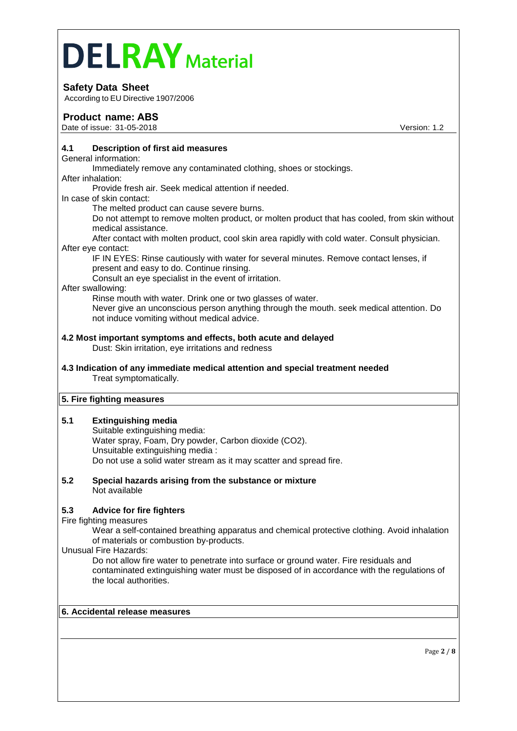# **Safety Data Sheet**

According to EU Directive 1907/2006

## **Product name: ABS**

Date of issue: 31-05-2018 **Version: 1.2** 

#### **4.1 Description of first aid measures**

General information:

Immediately remove any contaminated clothing, shoes or stockings.

After inhalation:

Provide fresh air. Seek medical attention if needed.

In case of skin contact:

The melted product can cause severe burns.

Do not attempt to remove molten product, or molten product that has cooled, from skin without medical assistance.

After contact with molten product, cool skin area rapidly with cold water. Consult physician. After eye contact:

IF IN EYES: Rinse cautiously with water for several minutes. Remove contact lenses, if present and easy to do. Continue rinsing.

Consult an eye specialist in the event of irritation.

#### After swallowing:

Rinse mouth with water. Drink one or two glasses of water. Never give an unconscious person anything through the mouth. seek medical attention. Do not induce vomiting without medical advice.

# **4.2 Most important symptoms and effects, both acute and delayed**

Dust: Skin irritation, eye irritations and redness

#### **4.3 Indication of any immediate medical attention and special treatment needed** Treat symptomatically.

## **5. Fire fighting measures**

## **5.1 Extinguishing media**

- Suitable extinguishing media: Water spray, Foam, Dry powder, Carbon dioxide (CO2). Unsuitable extinguishing media : Do not use a solid water stream as it may scatter and spread fire.
- **5.2 Special hazards arising from the substance or mixture** Not available

## **5.3 Advice for fire fighters**

Fire fighting measures

Wear a self-contained breathing apparatus and chemical protective clothing. Avoid inhalation of materials or combustion by-products.

Unusual Fire Hazards:

Do not allow fire water to penetrate into surface or ground water. Fire residuals and contaminated extinguishing water must be disposed of in accordance with the regulations of the local authorities.

#### **6. Accidental release measures**

Page **2** / **8**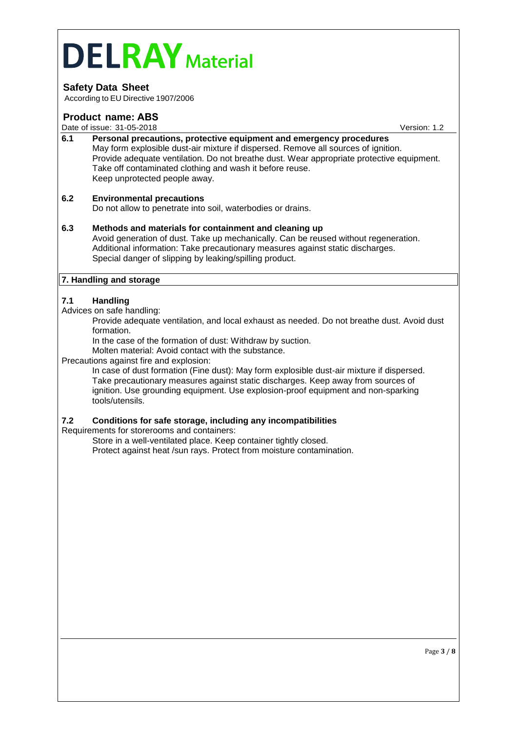# **Safety Data Sheet**

According to EU Directive 1907/2006

#### **Product name: ABS**

Date of issue: 31-05-2018 **Date of issue: 31-05-2018** Version: 1.2

**6.1 Personal precautions, protective equipment and emergency procedures** May form explosible dust-air mixture if dispersed. Remove all sources of ignition. Provide adequate ventilation. Do not breathe dust. Wear appropriate protective equipment. Take off contaminated clothing and wash it before reuse. Keep unprotected people away.

#### **6.2 Environmental precautions**

Do not allow to penetrate into soil, waterbodies or drains.

#### **6.3 Methods and materials for containment and cleaning up** Avoid generation of dust. Take up mechanically. Can be reused without regeneration. Additional information: Take precautionary measures against static discharges. Special danger of slipping by leaking/spilling product.

## **7. Handling and storage**

#### **7.1 Handling**

#### Advices on safe handling:

Provide adequate ventilation, and local exhaust as needed. Do not breathe dust. Avoid dust formation.

In the case of the formation of dust: Withdraw by suction.

Molten material: Avoid contact with the substance.

#### Precautions against fire and explosion:

In case of dust formation (Fine dust): May form explosible dust-air mixture if dispersed. Take precautionary measures against static discharges. Keep away from sources of ignition. Use grounding equipment. Use explosion-proof equipment and non-sparking tools/utensils.

#### **7.2 Conditions for safe storage, including any incompatibilities**

Requirements for storerooms and containers:

Store in a well-ventilated place. Keep container tightly closed. Protect against heat /sun rays. Protect from moisture contamination.

Page **3** / **8**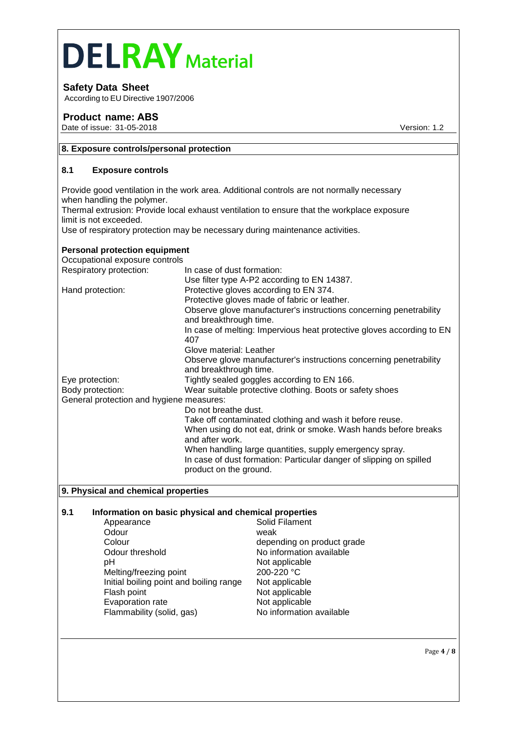# **Safety Data Sheet**

According to EU Directive 1907/2006

# **Product name: ABS**

Date of issue: 31-05-2018 **Version: 1.2** 

#### **8. Exposure controls/personal protection**

#### **8.1 Exposure controls**

Provide good ventilation in the work area. Additional controls are not normally necessary when handling the polymer.

Thermal extrusion: Provide local exhaust ventilation to ensure that the workplace exposure limit is not exceeded.

Use of respiratory protection may be necessary during maintenance activities.

## **Personal protection equipment**

| Occupational exposure controls           |                                                                                               |
|------------------------------------------|-----------------------------------------------------------------------------------------------|
| Respiratory protection:                  | In case of dust formation:                                                                    |
|                                          | Use filter type A-P2 according to EN 14387.                                                   |
| Hand protection:                         | Protective gloves according to EN 374.                                                        |
|                                          | Protective gloves made of fabric or leather.                                                  |
|                                          | Observe glove manufacturer's instructions concerning penetrability<br>and breakthrough time.  |
|                                          | In case of melting: Impervious heat protective gloves according to EN<br>407                  |
|                                          | Glove material: Leather                                                                       |
|                                          | Observe glove manufacturer's instructions concerning penetrability<br>and breakthrough time.  |
| Eye protection:                          | Tightly sealed goggles according to EN 166.                                                   |
| Body protection:                         | Wear suitable protective clothing. Boots or safety shoes                                      |
| General protection and hygiene measures: |                                                                                               |
|                                          | Do not breathe dust.                                                                          |
|                                          | Take off contaminated clothing and wash it before reuse.                                      |
|                                          | When using do not eat, drink or smoke. Wash hands before breaks<br>and after work.            |
|                                          | When handling large quantities, supply emergency spray.                                       |
|                                          | In case of dust formation: Particular danger of slipping on spilled<br>product on the ground. |

#### **9. Physical and chemical properties**

# **9.1 Information on basic physical and chemical properties**

- Appearance Odour weak weak<br>Colour dependent Odour threshold No information available pH Not applicable Melting/freezing point 200-220 °C Initial boiling point and boiling range Not applicable Flash point **Flash point** Not applicable<br>
Evaporation rate **Not applicable** Evaporation rate<br>
Flammability (solid, gas) No information available Flammability (solid, gas)
	- depending on product grade

Page **4** / **8**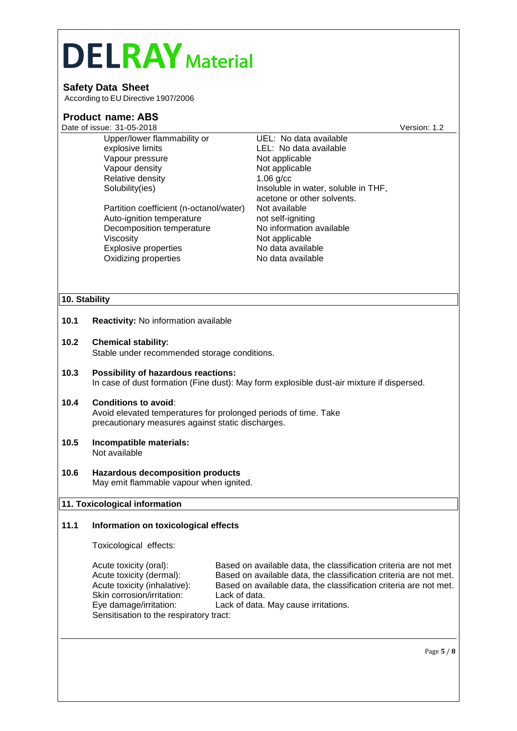# **Safety Data Sheet**

According to EU Directive 1907/2006

|               | <b>Product name: ABS</b>                                                                                                                            |                                                                   |              |  |  |
|---------------|-----------------------------------------------------------------------------------------------------------------------------------------------------|-------------------------------------------------------------------|--------------|--|--|
|               | Date of issue: 31-05-2018                                                                                                                           |                                                                   | Version: 1.2 |  |  |
|               | Upper/lower flammability or                                                                                                                         | UEL: No data available                                            |              |  |  |
|               | explosive limits                                                                                                                                    | LEL: No data available                                            |              |  |  |
|               | Vapour pressure                                                                                                                                     | Not applicable                                                    |              |  |  |
|               | Vapour density                                                                                                                                      | Not applicable                                                    |              |  |  |
|               | Relative density                                                                                                                                    | $1.06$ g/cc                                                       |              |  |  |
|               | Solubility(ies)                                                                                                                                     | Insoluble in water, soluble in THF,                               |              |  |  |
|               |                                                                                                                                                     | acetone or other solvents.                                        |              |  |  |
|               | Partition coefficient (n-octanol/water)                                                                                                             | Not available                                                     |              |  |  |
|               | Auto-ignition temperature                                                                                                                           | not self-igniting                                                 |              |  |  |
|               | Decomposition temperature                                                                                                                           | No information available                                          |              |  |  |
|               | Viscosity                                                                                                                                           | Not applicable                                                    |              |  |  |
|               | <b>Explosive properties</b>                                                                                                                         | No data available                                                 |              |  |  |
|               | Oxidizing properties                                                                                                                                | No data available                                                 |              |  |  |
|               |                                                                                                                                                     |                                                                   |              |  |  |
|               |                                                                                                                                                     |                                                                   |              |  |  |
| 10. Stability |                                                                                                                                                     |                                                                   |              |  |  |
| 10.1          | Reactivity: No information available                                                                                                                |                                                                   |              |  |  |
| 10.2          | <b>Chemical stability:</b><br>Stable under recommended storage conditions.                                                                          |                                                                   |              |  |  |
| 10.3          | Possibility of hazardous reactions:<br>In case of dust formation (Fine dust): May form explosible dust-air mixture if dispersed.                    |                                                                   |              |  |  |
| 10.4          | <b>Conditions to avoid:</b><br>Avoid elevated temperatures for prolonged periods of time. Take<br>precautionary measures against static discharges. |                                                                   |              |  |  |
| 10.5          | Incompatible materials:<br>Not available                                                                                                            |                                                                   |              |  |  |
| 10.6          | <b>Hazardous decomposition products</b><br>May emit flammable vapour when ignited.                                                                  |                                                                   |              |  |  |
|               | 11. Toxicological information                                                                                                                       |                                                                   |              |  |  |
| 11.1          | Information on toxicological effects                                                                                                                |                                                                   |              |  |  |
|               | Toxicological effects:                                                                                                                              |                                                                   |              |  |  |
|               | Acute toxicity (oral):                                                                                                                              | Based on available data, the classification criteria are not met  |              |  |  |
|               | Acute toxicity (dermal):                                                                                                                            | Based on available data, the classification criteria are not met. |              |  |  |
|               | Acute toxicity (inhalative):                                                                                                                        | Based on available data, the classification criteria are not met. |              |  |  |
|               | Skin corrosion/irritation:                                                                                                                          | Lack of data.                                                     |              |  |  |
|               | Eye damage/irritation:                                                                                                                              | Lack of data. May cause irritations.                              |              |  |  |
|               | Sensitisation to the respiratory tract:                                                                                                             |                                                                   |              |  |  |
|               |                                                                                                                                                     |                                                                   |              |  |  |
|               |                                                                                                                                                     |                                                                   | Page 5 / 8   |  |  |
|               |                                                                                                                                                     |                                                                   |              |  |  |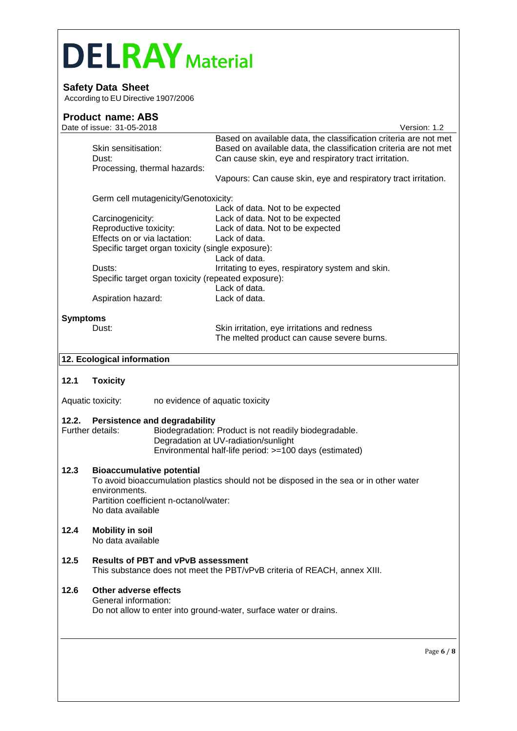# **Safety Data Sheet**

According to EU Directive 1907/2006

# **Product name: ABS**

|                 | Date of issue: 31-05-2018                                                                                                                                                                                 |                                                                                                                                                                                               | Version: 1.2 |  |  |  |
|-----------------|-----------------------------------------------------------------------------------------------------------------------------------------------------------------------------------------------------------|-----------------------------------------------------------------------------------------------------------------------------------------------------------------------------------------------|--------------|--|--|--|
|                 | Skin sensitisation:<br>Dust:<br>Processing, thermal hazards:                                                                                                                                              | Based on available data, the classification criteria are not met<br>Based on available data, the classification criteria are not met<br>Can cause skin, eye and respiratory tract irritation. |              |  |  |  |
|                 |                                                                                                                                                                                                           | Vapours: Can cause skin, eye and respiratory tract irritation.                                                                                                                                |              |  |  |  |
|                 | Germ cell mutagenicity/Genotoxicity:                                                                                                                                                                      |                                                                                                                                                                                               |              |  |  |  |
|                 | Carcinogenicity:                                                                                                                                                                                          | Lack of data. Not to be expected<br>Lack of data. Not to be expected                                                                                                                          |              |  |  |  |
|                 | Reproductive toxicity:                                                                                                                                                                                    | Lack of data. Not to be expected                                                                                                                                                              |              |  |  |  |
|                 | Effects on or via lactation:                                                                                                                                                                              | Lack of data.                                                                                                                                                                                 |              |  |  |  |
|                 | Specific target organ toxicity (single exposure):                                                                                                                                                         | Lack of data.                                                                                                                                                                                 |              |  |  |  |
|                 | Dusts:<br>Specific target organ toxicity (repeated exposure):                                                                                                                                             | Irritating to eyes, respiratory system and skin.                                                                                                                                              |              |  |  |  |
|                 |                                                                                                                                                                                                           | Lack of data.                                                                                                                                                                                 |              |  |  |  |
|                 | Aspiration hazard:                                                                                                                                                                                        | Lack of data.                                                                                                                                                                                 |              |  |  |  |
| <b>Symptoms</b> |                                                                                                                                                                                                           |                                                                                                                                                                                               |              |  |  |  |
|                 | Dust:                                                                                                                                                                                                     | Skin irritation, eye irritations and redness<br>The melted product can cause severe burns.                                                                                                    |              |  |  |  |
|                 | 12. Ecological information                                                                                                                                                                                |                                                                                                                                                                                               |              |  |  |  |
|                 |                                                                                                                                                                                                           |                                                                                                                                                                                               |              |  |  |  |
| 12.1            | <b>Toxicity</b>                                                                                                                                                                                           |                                                                                                                                                                                               |              |  |  |  |
|                 | Aquatic toxicity:                                                                                                                                                                                         | no evidence of aquatic toxicity                                                                                                                                                               |              |  |  |  |
| 12.2.           | <b>Persistence and degradability</b><br>Further details:                                                                                                                                                  | Biodegradation: Product is not readily biodegradable.<br>Degradation at UV-radiation/sunlight<br>Environmental half-life period: >=100 days (estimated)                                       |              |  |  |  |
| 12.3            | <b>Bioaccumulative potential</b><br>To avoid bioaccumulation plastics should not be disposed in the sea or in other water<br>environments.<br>Partition coefficient n-octanol/water:<br>No data available |                                                                                                                                                                                               |              |  |  |  |
| 12.4            | <b>Mobility in soil</b><br>No data available                                                                                                                                                              |                                                                                                                                                                                               |              |  |  |  |
| 12.5            | <b>Results of PBT and vPvB assessment</b>                                                                                                                                                                 | This substance does not meet the PBT/vPvB criteria of REACH, annex XIII.                                                                                                                      |              |  |  |  |
| 12.6            | Other adverse effects<br>General information:                                                                                                                                                             | Do not allow to enter into ground-water, surface water or drains.                                                                                                                             |              |  |  |  |
|                 |                                                                                                                                                                                                           |                                                                                                                                                                                               | Page $6/8$   |  |  |  |
|                 |                                                                                                                                                                                                           |                                                                                                                                                                                               |              |  |  |  |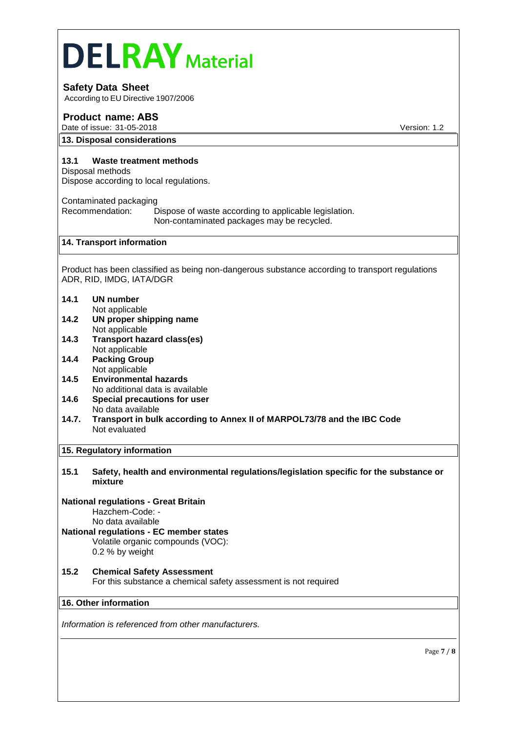# **Safety Data Sheet**

According to EU Directive 1907/2006

# **Product name: ABS**

Date of issue: 31-05-2018 Version: 1.2

#### **13. Disposal considerations**

#### **13.1 Waste treatment methods**

Disposal methods Dispose according to local regulations.

Contaminated packaging Recommendation: Dispose of waste according to applicable legislation. Non-contaminated packages may be recycled.

#### **14. Transport information**

Product has been classified as being non-dangerous substance according to transport regulations ADR, RID, IMDG, IATA/DGR

# **14.1 UN number**

- Not applicable
- **14.2 UN proper shipping name** Not applicable
- **14.3 Transport hazard class(es)** Not applicable
- **14.4 Packing Group** Not applicable
- **14.5 Environmental hazards** No additional data is available
- **14.6 Special precautions for user** No data available
- **14.7. Transport in bulk according to Annex II of MARPOL73/78 and the IBC Code** Not evaluated

#### **15. Regulatory information**

**15.1 Safety, health and environmental regulations/legislation specific for the substance or mixture**

## **National regulations - Great Britain**

Hazchem-Code: -

#### No data available **National regulations - EC member states**

Volatile organic compounds (VOC): 0.2 % by weight

# **15.2 Chemical Safety Assessment** For this substance a chemical safety assessment is not required

#### **16. Other information**

*Information is referenced from other manufacturers.*